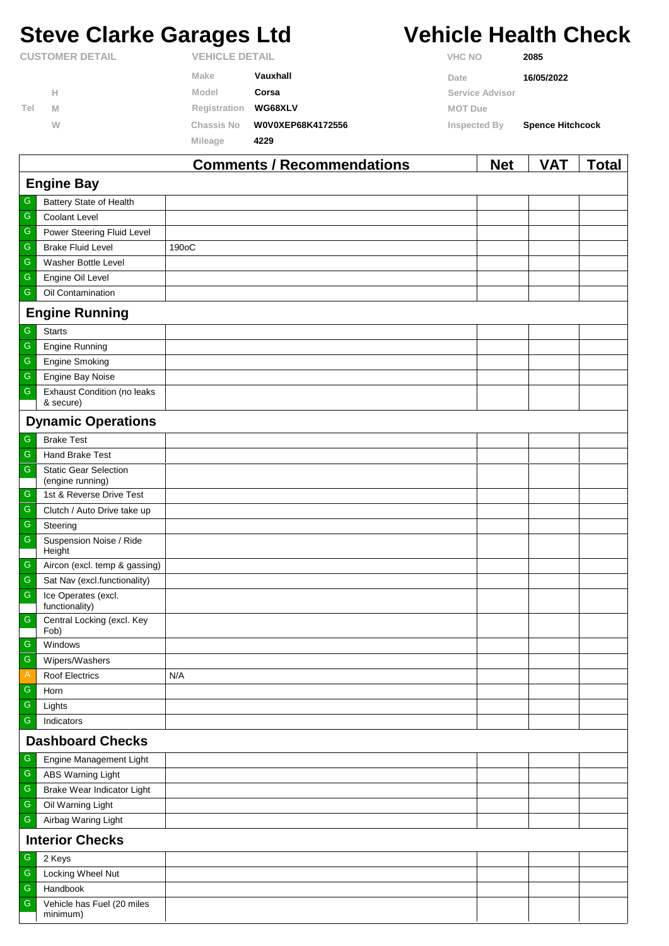# **Steve Clarke Garages Ltd Vehicle Health Check**

|                        |   |              | <b>Comments / Recommendations</b> |                | <b>Net</b>      | VAT                     | <sup>-</sup> otal |
|------------------------|---|--------------|-----------------------------------|----------------|-----------------|-------------------------|-------------------|
|                        |   | Mileage      | 4229                              |                |                 |                         |                   |
|                        | W | Chassis No   | W0V0XEP68K4172556                 |                | Inspected By    | <b>Spence Hitchcock</b> |                   |
| Tel                    | M | Registration | WG68XLV                           | <b>MOT Due</b> |                 |                         |                   |
|                        | Н | Model        | Corsa                             |                | Service Advisor |                         |                   |
|                        |   | Make         | Vauxhall                          | Date           |                 | 16/05/2022              |                   |
| <b>CUSTOMER DETAIL</b> |   |              | <b>VEHICLE DETAIL</b>             |                | <b>VHC NO</b>   | 2085                    |                   |

|                         |                                                  | Comments / Recommendations | <b>Net</b> | VA I | <u>i</u> otal |  |  |
|-------------------------|--------------------------------------------------|----------------------------|------------|------|---------------|--|--|
|                         | <b>Engine Bay</b>                                |                            |            |      |               |  |  |
| G                       | Battery State of Health                          |                            |            |      |               |  |  |
| $\mathsf G$             | <b>Coolant Level</b>                             |                            |            |      |               |  |  |
| ${\mathsf G}$           | Power Steering Fluid Level                       |                            |            |      |               |  |  |
| $\mathsf G$             | <b>Brake Fluid Level</b>                         | 190oC                      |            |      |               |  |  |
| ${\mathsf G}$           | Washer Bottle Level                              |                            |            |      |               |  |  |
| ${\mathsf G}$           | Engine Oil Level                                 |                            |            |      |               |  |  |
| ${\mathsf G}$           | Oil Contamination                                |                            |            |      |               |  |  |
|                         | <b>Engine Running</b>                            |                            |            |      |               |  |  |
| G                       | <b>Starts</b>                                    |                            |            |      |               |  |  |
| ${\mathsf G}$           | <b>Engine Running</b>                            |                            |            |      |               |  |  |
| ${\mathsf G}$           | <b>Engine Smoking</b>                            |                            |            |      |               |  |  |
| ${\mathsf G}$           | Engine Bay Noise                                 |                            |            |      |               |  |  |
| ${\mathsf G}$           | <b>Exhaust Condition (no leaks</b><br>& secure)  |                            |            |      |               |  |  |
|                         | <b>Dynamic Operations</b>                        |                            |            |      |               |  |  |
| G                       | <b>Brake Test</b>                                |                            |            |      |               |  |  |
| $\mathsf G$             | <b>Hand Brake Test</b>                           |                            |            |      |               |  |  |
| ${\mathsf G}$           | <b>Static Gear Selection</b><br>(engine running) |                            |            |      |               |  |  |
| ${\mathsf G}$           | 1st & Reverse Drive Test                         |                            |            |      |               |  |  |
| $\mathsf G$             | Clutch / Auto Drive take up                      |                            |            |      |               |  |  |
| ${\mathsf G}$           | Steering                                         |                            |            |      |               |  |  |
| ${\mathsf G}$           | Suspension Noise / Ride<br>Height                |                            |            |      |               |  |  |
| $\mathsf G$             | Aircon (excl. temp & gassing)                    |                            |            |      |               |  |  |
| $\mathsf G$             | Sat Nav (excl.functionality)                     |                            |            |      |               |  |  |
| ${\mathsf G}$           | Ice Operates (excl.<br>functionality)            |                            |            |      |               |  |  |
| ${\mathsf G}$           | Central Locking (excl. Key<br>Fob)               |                            |            |      |               |  |  |
| ${\mathbb G}$           | Windows                                          |                            |            |      |               |  |  |
| ${\mathsf G}$           | Wipers/Washers                                   |                            |            |      |               |  |  |
| A                       | Roof Electrics                                   | N/A                        |            |      |               |  |  |
| G                       | Horn                                             |                            |            |      |               |  |  |
| ${\mathsf G}$           | Lights                                           |                            |            |      |               |  |  |
| ${\mathsf G}$           | Indicators                                       |                            |            |      |               |  |  |
| <b>Dashboard Checks</b> |                                                  |                            |            |      |               |  |  |
| G                       | Engine Management Light                          |                            |            |      |               |  |  |
| G                       | <b>ABS Warning Light</b>                         |                            |            |      |               |  |  |
| ${\mathsf G}$           | Brake Wear Indicator Light                       |                            |            |      |               |  |  |
| ${\mathsf G}$           | Oil Warning Light                                |                            |            |      |               |  |  |
| ${\mathsf G}$           | Airbag Waring Light                              |                            |            |      |               |  |  |
| <b>Interior Checks</b>  |                                                  |                            |            |      |               |  |  |
| ${\mathsf G}$           | 2 Keys                                           |                            |            |      |               |  |  |
| $\mathsf G$             | Locking Wheel Nut                                |                            |            |      |               |  |  |
| ${\mathbb G}$           | Handbook                                         |                            |            |      |               |  |  |
| $\mathsf G$             | Vehicle has Fuel (20 miles<br>minimum)           |                            |            |      |               |  |  |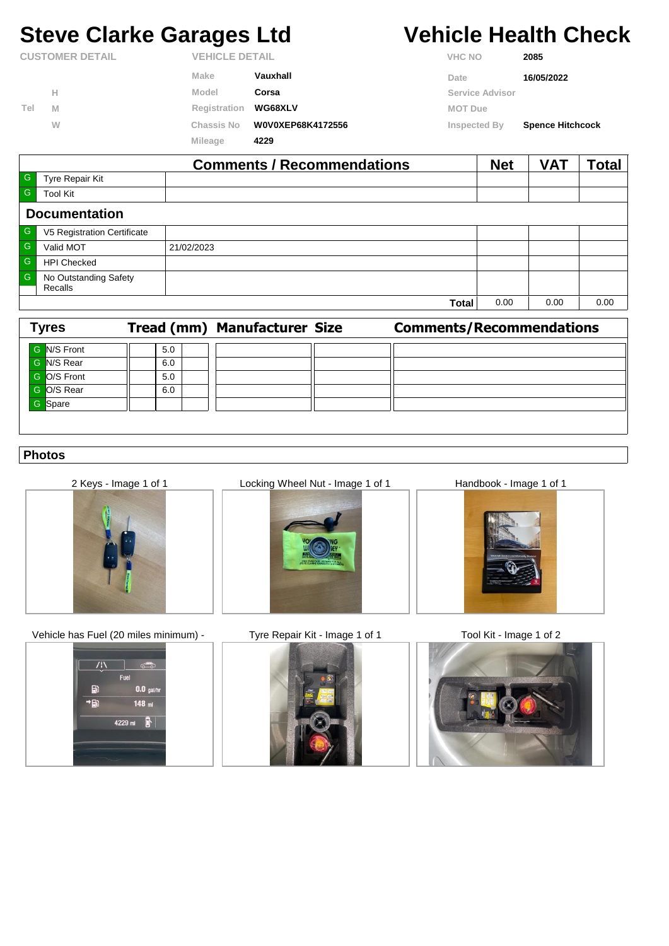## **Steve Clarke Garages Ltd Vehicle Health Check**

| <b>CUSTOMER DETAIL</b> |   | <b>VEHICLE DETAIL</b> |                   | <b>VHC NO</b>          | 2085                    |  |
|------------------------|---|-----------------------|-------------------|------------------------|-------------------------|--|
|                        |   | Make                  | Vauxhall          | Date                   | 16/05/2022              |  |
| Tel                    | н | Model                 | Corsa             | <b>Service Advisor</b> |                         |  |
|                        | M | Registration          | <b>WG68XLV</b>    | <b>MOT Due</b>         |                         |  |
|                        | W | <b>Chassis No</b>     | W0V0XEP68K4172556 | Inspected By           | <b>Spence Hitchcock</b> |  |
|                        |   | Mileage               | 4229              |                        |                         |  |

|              |                                  | <b>Comments / Recommendations</b> | <b>Net</b> | <b>VAT</b> | 'otal |  |  |
|--------------|----------------------------------|-----------------------------------|------------|------------|-------|--|--|
| $-$ G        | Tyre Repair Kit                  |                                   |            |            |       |  |  |
| $\mathsf{G}$ | <b>Tool Kit</b>                  |                                   |            |            |       |  |  |
|              | <b>Documentation</b>             |                                   |            |            |       |  |  |
| G            | V5 Registration Certificate      |                                   |            |            |       |  |  |
| $-$ G        | Valid MOT                        | 21/02/2023                        |            |            |       |  |  |
| $\mathsf{G}$ | <b>HPI Checked</b>               |                                   |            |            |       |  |  |
| $\mathsf{G}$ | No Outstanding Safety<br>Recalls |                                   |            |            |       |  |  |
|              |                                  | <b>Total</b>                      | 0.00       | 0.00       | 0.00  |  |  |

| <b>Tyres</b> |     | <b>Tread (mm) Manufacturer Size</b> | <b>Comments/Recommendations</b> |
|--------------|-----|-------------------------------------|---------------------------------|
| G N/S Front  | 5.0 |                                     |                                 |
| G N/S Rear   | 6.0 |                                     |                                 |
| G O/S Front  | 5.0 |                                     |                                 |
| G O/S Rear   | 6.0 |                                     |                                 |
| G Spare      |     |                                     |                                 |
|              |     |                                     |                                 |

### **Photos**



Vehicle has Fuel (20 miles minimum) - Tyre Repair Kit - Image 1 of 1 Tool Kit - Image 1 of 2



2 Keys - Image 1 of 1 Locking Wheel Nut - Image 1 of 1 Handbook - Image 1 of 1